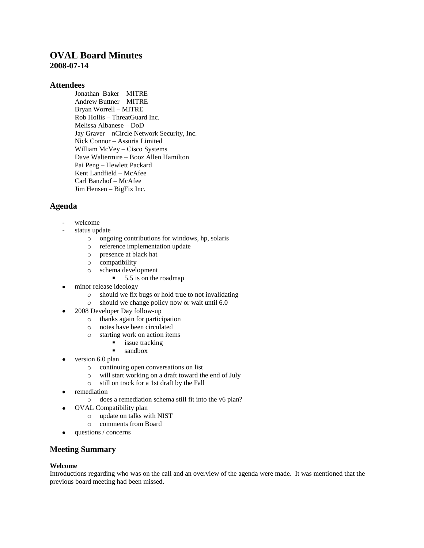# **OVAL Board Minutes 2008-07-14**

### **Attendees**

Jonathan Baker – MITRE Andrew Buttner – MITRE Bryan Worrell – MITRE Rob Hollis – ThreatGuard Inc. Melissa Albanese – DoD Jay Graver – nCircle Network Security, Inc. Nick Connor – Assuria Limited William McVey – Cisco Systems Dave Waltermire – Booz Allen Hamilton Pai Peng – Hewlett Packard Kent Landfield – McAfee Carl Banzhof – McAfee Jim Hensen – BigFix Inc.

# **Agenda**

- welcome
- status update
	- o ongoing contributions for windows, hp, solaris
	- o reference implementation update
	- o presence at black hat
	- o compatibility
	- o schema development
		- $\blacksquare$  5.5 is on the roadmap
- minor release ideology
	- o should we fix bugs or hold true to not invalidating
	- o should we change policy now or wait until 6.0
- 2008 Developer Day follow-up
	- o thanks again for participation
	- o notes have been circulated
	- o starting work on action items
		- **i** issue tracking
		- sandbox
- version 6.0 plan
	- o continuing open conversations on list
	- o will start working on a draft toward the end of July
	- o still on track for a 1st draft by the Fall
- remediation
	- o does a remediation schema still fit into the v6 plan?
	- OVAL Compatibility plan
		- o update on talks with NIST
		- o comments from Board
- questions / concerns  $\bullet$

## **Meeting Summary**

#### **Welcome**

 $\bullet$ 

Introductions regarding who was on the call and an overview of the agenda were made. It was mentioned that the previous board meeting had been missed.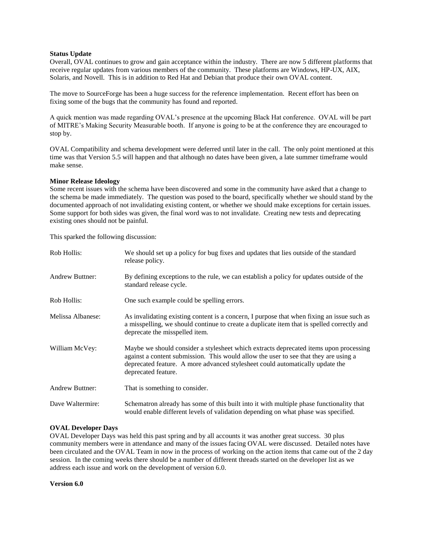#### **Status Update**

Overall, OVAL continues to grow and gain acceptance within the industry. There are now 5 different platforms that receive regular updates from various members of the community. These platforms are Windows, HP-UX, AIX, Solaris, and Novell. This is in addition to Red Hat and Debian that produce their own OVAL content.

The move to SourceForge has been a huge success for the reference implementation. Recent effort has been on fixing some of the bugs that the community has found and reported.

A quick mention was made regarding OVAL's presence at the upcoming Black Hat conference. OVAL will be part of MITRE's Making Security Measurable booth. If anyone is going to be at the conference they are encouraged to stop by.

OVAL Compatibility and schema development were deferred until later in the call. The only point mentioned at this time was that Version 5.5 will happen and that although no dates have been given, a late summer timeframe would make sense.

#### **Minor Release Ideology**

Some recent issues with the schema have been discovered and some in the community have asked that a change to the schema be made immediately. The question was posed to the board, specifically whether we should stand by the documented approach of not invalidating existing content, or whether we should make exceptions for certain issues. Some support for both sides was given, the final word was to not invalidate. Creating new tests and deprecating existing ones should not be painful.

This sparked the following discussion:

| Rob Hollis:            | We should set up a policy for bug fixes and updates that lies outside of the standard<br>release policy.                                                                                                                                                                              |
|------------------------|---------------------------------------------------------------------------------------------------------------------------------------------------------------------------------------------------------------------------------------------------------------------------------------|
| <b>Andrew Buttner:</b> | By defining exceptions to the rule, we can establish a policy for updates outside of the<br>standard release cycle.                                                                                                                                                                   |
| Rob Hollis:            | One such example could be spelling errors.                                                                                                                                                                                                                                            |
| Melissa Albanese:      | As invalidating existing content is a concern, I purpose that when fixing an issue such as<br>a misspelling, we should continue to create a duplicate item that is spelled correctly and<br>deprecate the misspelled item.                                                            |
| William McVey:         | Maybe we should consider a stylesheet which extracts deprecated items upon processing<br>against a content submission. This would allow the user to see that they are using a<br>deprecated feature. A more advanced stylesheet could automatically update the<br>deprecated feature. |
| <b>Andrew Buttner:</b> | That is something to consider.                                                                                                                                                                                                                                                        |
| Dave Waltermire:       | Schematron already has some of this built into it with multiple phase functionality that<br>would enable different levels of validation depending on what phase was specified.                                                                                                        |

### **OVAL Developer Days**

OVAL Developer Days was held this past spring and by all accounts it was another great success. 30 plus community members were in attendance and many of the issues facing OVAL were discussed. Detailed notes have been circulated and the OVAL Team in now in the process of working on the action items that came out of the 2 day session. In the coming weeks there should be a number of different threads started on the developer list as we address each issue and work on the development of version 6.0.

**Version 6.0**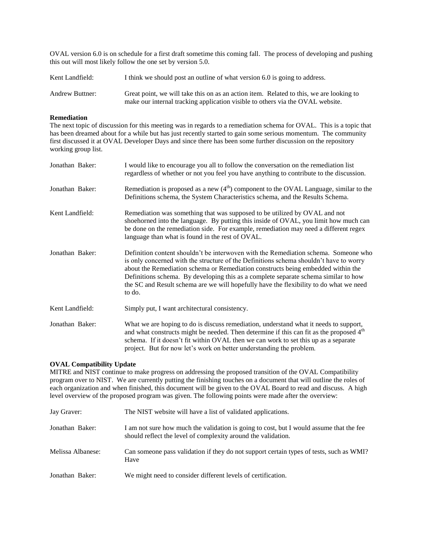OVAL version 6.0 is on schedule for a first draft sometime this coming fall. The process of developing and pushing this out will most likely follow the one set by version 5.0.

| Kent Landfield:        | I think we should post an outline of what version 6.0 is going to address.                                                                                                |
|------------------------|---------------------------------------------------------------------------------------------------------------------------------------------------------------------------|
| <b>Andrew Buttner:</b> | Great point, we will take this on as an action item. Related to this, we are looking to<br>make our internal tracking application visible to others via the OVAL website. |

#### **Remediation**

The next topic of discussion for this meeting was in regards to a remediation schema for OVAL. This is a topic that has been dreamed about for a while but has just recently started to gain some serious momentum. The community first discussed it at OVAL Developer Days and since there has been some further discussion on the repository working group list.

| Jonathan Baker: | I would like to encourage you all to follow the conversation on the remediation list<br>regardless of whether or not you feel you have anything to contribute to the discussion.                                                                                                                                                                                                                                                                             |
|-----------------|--------------------------------------------------------------------------------------------------------------------------------------------------------------------------------------------------------------------------------------------------------------------------------------------------------------------------------------------------------------------------------------------------------------------------------------------------------------|
| Jonathan Baker: | Remediation is proposed as a new $(4th)$ component to the OVAL Language, similar to the<br>Definitions schema, the System Characteristics schema, and the Results Schema.                                                                                                                                                                                                                                                                                    |
| Kent Landfield: | Remediation was something that was supposed to be utilized by OVAL and not<br>shoehorned into the language. By putting this inside of OVAL, you limit how much can<br>be done on the remediation side. For example, remediation may need a different regex<br>language than what is found in the rest of OVAL.                                                                                                                                               |
| Jonathan Baker: | Definition content shouldn't be interwoven with the Remediation schema. Someone who<br>is only concerned with the structure of the Definitions schema shouldn't have to worry<br>about the Remediation schema or Remediation constructs being embedded within the<br>Definitions schema. By developing this as a complete separate schema similar to how<br>the SC and Result schema are we will hopefully have the flexibility to do what we need<br>to do. |
| Kent Landfield: | Simply put, I want architectural consistency.                                                                                                                                                                                                                                                                                                                                                                                                                |
| Jonathan Baker: | What we are hoping to do is discuss remediation, understand what it needs to support,<br>and what constructs might be needed. Then determine if this can fit as the proposed 4 <sup>th</sup><br>schema. If it doesn't fit within OVAL then we can work to set this up as a separate<br>project. But for now let's work on better understanding the problem.                                                                                                  |

#### **OVAL Compatibility Update**

MITRE and NIST continue to make progress on addressing the proposed transition of the OVAL Compatibility program over to NIST. We are currently putting the finishing touches on a document that will outline the roles of each organization and when finished, this document will be given to the OVAL Board to read and discuss. A high level overview of the proposed program was given. The following points were made after the overview:

| Jay Graver:       | The NIST website will have a list of validated applications.                                                                                             |
|-------------------|----------------------------------------------------------------------------------------------------------------------------------------------------------|
| Jonathan Baker:   | I am not sure how much the validation is going to cost, but I would assume that the fee<br>should reflect the level of complexity around the validation. |
| Melissa Albanese: | Can someone pass validation if they do not support certain types of tests, such as WMI?<br>Have                                                          |
| Jonathan Baker:   | We might need to consider different levels of certification.                                                                                             |